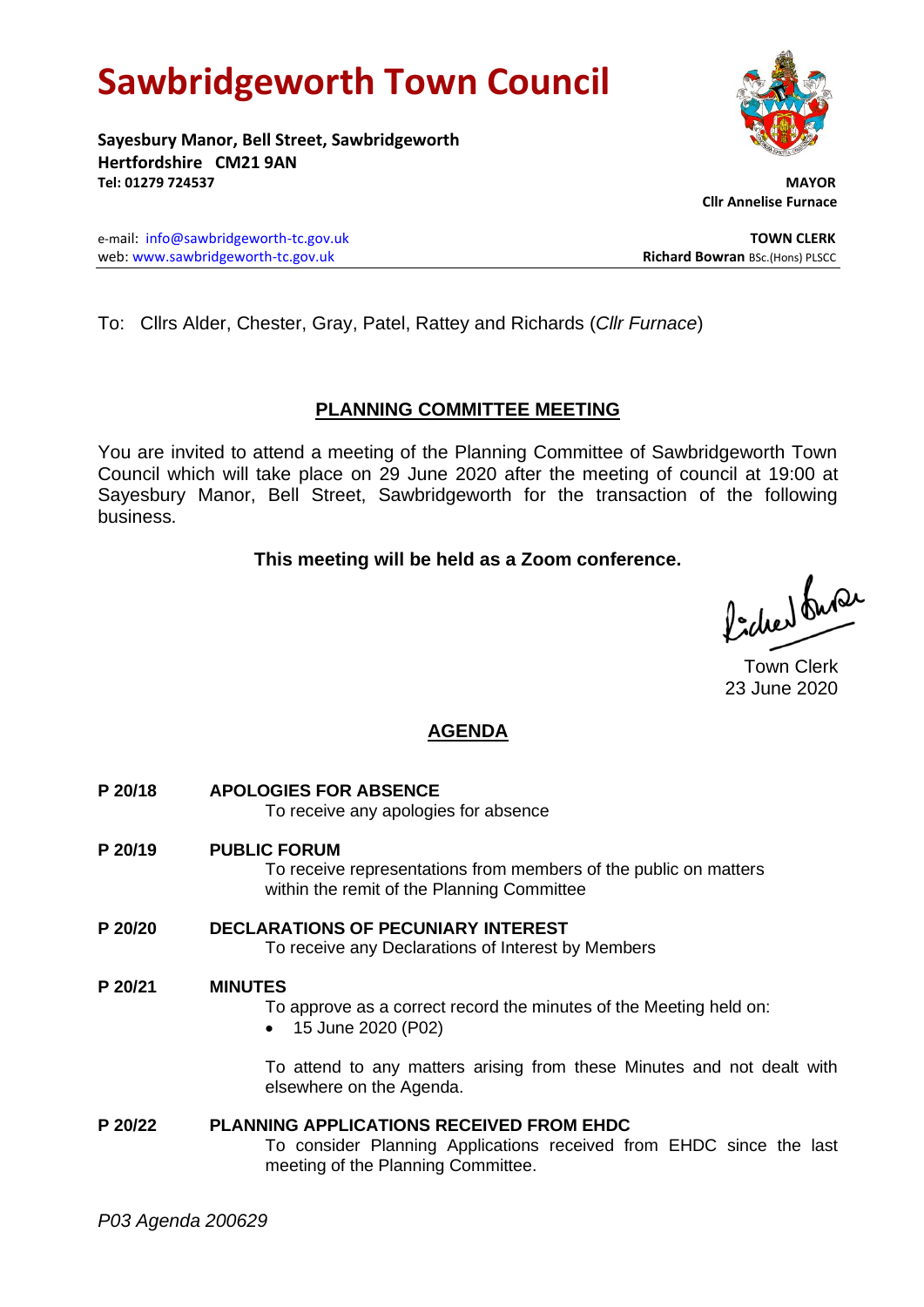# **Sawbridgeworth Town Council**

**Sayesbury Manor, Bell Street, Sawbridgeworth Hertfordshire CM21 9AN Tel: 01279 724537 MAYOR**

e-mail: [info@sawbridgeworth-tc.gov.uk](mailto:info@sawbridgeworth-tc.gov.uk) **TOWN CLERK** web: www.sawbridgeworth-tc.gov.uk<br> **Richard Bowran** BSc.(Hons) PLSCC

To: Cllrs Alder, Chester, Gray, Patel, Rattey and Richards (*Cllr Furnace*)

## **PLANNING COMMITTEE MEETING**

You are invited to attend a meeting of the Planning Committee of Sawbridgeworth Town Council which will take place on 29 June 2020 after the meeting of council at 19:00 at Sayesbury Manor, Bell Street, Sawbridgeworth for the transaction of the following business.

## **This meeting will be held as a Zoom conference.**

Picked fuse

Town Clerk 23 June 2020

## **AGENDA**

**P 20/18 APOLOGIES FOR ABSENCE** To receive any apologies for absence **P 20/19 PUBLIC FORUM** To receive representations from members of the public on matters within the remit of the Planning Committee **P 20/20 DECLARATIONS OF PECUNIARY INTEREST** To receive any Declarations of Interest by Members **P 20/21 MINUTES** To approve as a correct record the minutes of the Meeting held on: • 15 June 2020 (P02)

To attend to any matters arising from these Minutes and not dealt with elsewhere on the Agenda.

**P 20/22 PLANNING APPLICATIONS RECEIVED FROM EHDC** To consider Planning Applications received from EHDC since the last meeting of the Planning Committee.



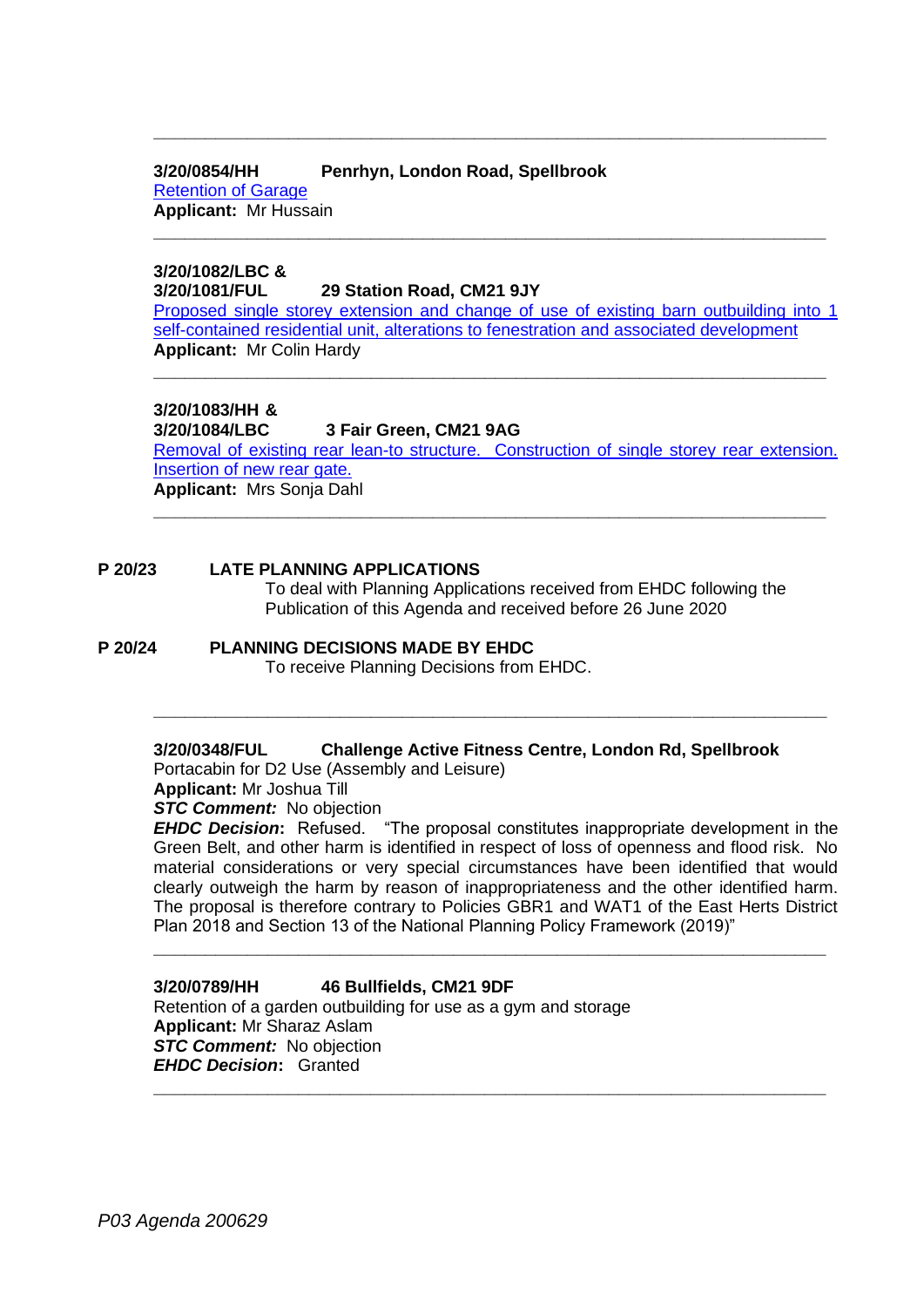#### **3/20/0854/HH Penrhyn, London Road, Spellbrook**

[Retention of](https://publicaccess.eastherts.gov.uk/online-applications/applicationDetails.do?activeTab=documents&keyVal=Q9T4Z4GL00X00) Garage **Applicant:** Mr Hussain **\_\_\_\_\_\_\_\_\_\_\_\_\_\_\_\_\_\_\_\_\_\_\_\_\_\_\_\_\_\_\_\_\_\_\_\_\_\_\_\_\_\_\_\_\_\_\_\_\_\_\_\_\_\_\_\_\_\_\_\_\_\_\_\_\_**

#### **3/20/1082/LBC & 3/20/1081/FUL 29 Station Road, CM21 9JY**

[Proposed single storey extension and change of use of existing barn outbuilding into 1](https://publicaccess.eastherts.gov.uk/online-applications/applicationDetails.do?activeTab=documents&keyVal=QBPTSJGLH5100)  [self-contained residential unit, alterations to](https://publicaccess.eastherts.gov.uk/online-applications/applicationDetails.do?activeTab=documents&keyVal=QBPTSJGLH5100) fenestration and associated development **Applicant:** Mr Colin Hardy

**\_\_\_\_\_\_\_\_\_\_\_\_\_\_\_\_\_\_\_\_\_\_\_\_\_\_\_\_\_\_\_\_\_\_\_\_\_\_\_\_\_\_\_\_\_\_\_\_\_\_\_\_\_\_\_\_\_\_\_\_\_\_\_\_\_**

**\_\_\_\_\_\_\_\_\_\_\_\_\_\_\_\_\_\_\_\_\_\_\_\_\_\_\_\_\_\_\_\_\_\_\_\_\_\_\_\_\_\_\_\_\_\_\_\_\_\_\_\_\_\_\_\_\_\_\_\_\_\_\_\_\_**

## **3/20/1083/HH &**

**3/20/1084/LBC 3 Fair Green, CM21 9AG** [Removal of existing rear lean-to structure. Construction of single storey rear extension.](https://publicaccess.eastherts.gov.uk/online-applications/applicationDetails.do?activeTab=documents&keyVal=QBPTTAGLH5600)  [Insertion of new rear gate.](https://publicaccess.eastherts.gov.uk/online-applications/applicationDetails.do?activeTab=documents&keyVal=QBPTTAGLH5600) **Applicant:** Mrs Sonja Dahl

**\_\_\_\_\_\_\_\_\_\_\_\_\_\_\_\_\_\_\_\_\_\_\_\_\_\_\_\_\_\_\_\_\_\_\_\_\_\_\_\_\_\_\_\_\_\_\_\_\_\_\_\_\_\_\_\_\_\_\_\_\_\_\_\_\_**

#### **P 20/23 LATE PLANNING APPLICATIONS**

To deal with Planning Applications received from EHDC following the Publication of this Agenda and received before 26 June 2020

# **P 20/24 PLANNING DECISIONS MADE BY EHDC**

To receive Planning Decisions from EHDC.

## **3/20/0348/FUL Challenge Active Fitness Centre, London Rd, Spellbrook**

**\_\_\_\_\_\_\_\_\_\_\_\_\_\_\_\_\_\_\_\_\_\_\_\_\_\_\_\_\_\_\_\_\_\_\_\_\_\_\_\_\_\_\_\_\_\_\_\_\_\_\_\_\_\_\_\_\_\_\_\_\_\_\_\_\_**

Portacabin for D2 Use (Assembly and Leisure)

**Applicant:** Mr Joshua Till

## *STC Comment:* No objection

*EHDC Decision***:** Refused. "The proposal constitutes inappropriate development in the Green Belt, and other harm is identified in respect of loss of openness and flood risk. No material considerations or very special circumstances have been identified that would clearly outweigh the harm by reason of inappropriateness and the other identified harm. The proposal is therefore contrary to Policies GBR1 and WAT1 of the East Herts District Plan 2018 and Section 13 of the National Planning Policy Framework (2019)"

**\_\_\_\_\_\_\_\_\_\_\_\_\_\_\_\_\_\_\_\_\_\_\_\_\_\_\_\_\_\_\_\_\_\_\_\_\_\_\_\_\_\_\_\_\_\_\_\_\_\_\_\_\_\_\_\_\_\_\_\_\_\_\_\_\_**

**\_\_\_\_\_\_\_\_\_\_\_\_\_\_\_\_\_\_\_\_\_\_\_\_\_\_\_\_\_\_\_\_\_\_\_\_\_\_\_\_\_\_\_\_\_\_\_\_\_\_\_\_\_\_\_\_\_\_\_\_\_\_\_\_\_**

#### **3/20/0789/HH 46 Bullfields, CM21 9DF** Retention of a garden outbuilding for use as a gym and storage **Applicant:** Mr Sharaz Aslam

*STC Comment:* No objection *EHDC Decision***:** Granted